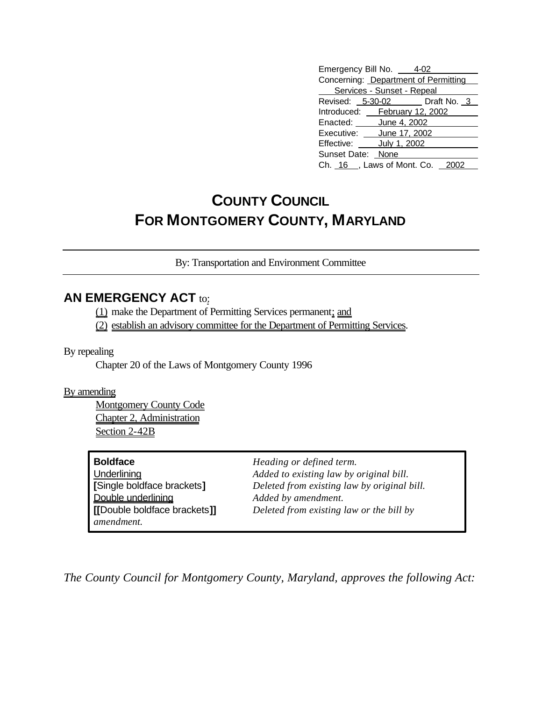| Emergency Bill No. 4-02              |  |                              |  |  |
|--------------------------------------|--|------------------------------|--|--|
| Concerning: Department of Permitting |  |                              |  |  |
| Services - Sunset - Repeal           |  |                              |  |  |
|                                      |  | Revised: 5-30-02 Draft No. 3 |  |  |
| Introduced: February 12, 2002        |  |                              |  |  |
| Enacted: June 4, 2002                |  |                              |  |  |
| Executive: June 17, 2002             |  |                              |  |  |
| Effective: July 1, 2002              |  |                              |  |  |
| Sunset Date: None                    |  |                              |  |  |
| Ch. $16$ , Laws of Mont. Co.         |  |                              |  |  |

## **COUNTY COUNCIL FOR MONTGOMERY COUNTY, MARYLAND**

By: Transportation and Environment Committee

## **AN EMERGENCY ACT to:**

(1) make the Department of Permitting Services permanent; and

(2) establish an advisory committee for the Department of Permitting Services.

By repealing

Chapter 20 of the Laws of Montgomery County 1996

By amending

Montgomery County Code Chapter 2, Administration Section 2-42B

| <b>Boldface</b>              |
|------------------------------|
| Underlining                  |
| [Single boldface brackets]   |
| Double underlining           |
| [[Double boldface brackets]] |
| amendment.                   |

**Heading or defined term.** Added to existing law by original bill. **[**Single boldface brackets**]** *Deleted from existing law by original bill.* Added by amendment.  $Deleted from existing law or the bill by$ 

*The County Council for Montgomery County, Maryland, approves the following Act:*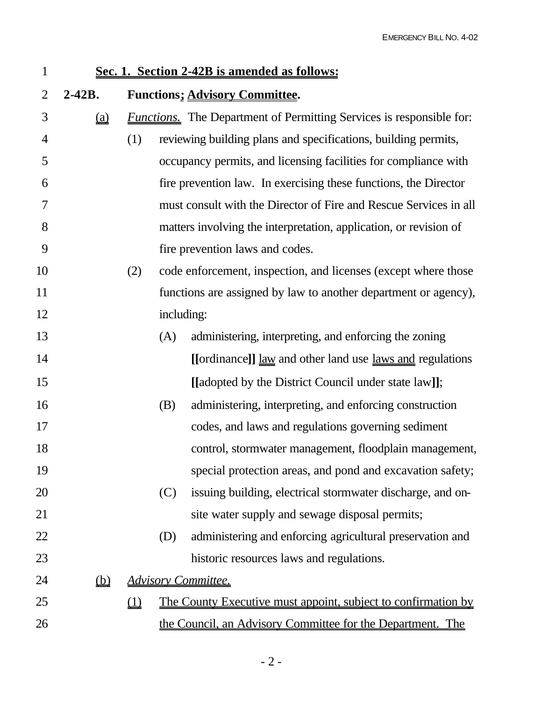| $\mathbf{1}$   | Sec. 1. Section 2-42B is amended as follows:      |        |     |                                                                                     |
|----------------|---------------------------------------------------|--------|-----|-------------------------------------------------------------------------------------|
| $\overline{2}$ | $2 - 42B$ .                                       |        |     | <b>Functions; Advisory Committee.</b>                                               |
| 3              | (a)                                               |        |     | <b><i>Functions</i></b> . The Department of Permitting Services is responsible for: |
| 4              |                                                   | (1)    |     | reviewing building plans and specifications, building permits,                      |
| 5              |                                                   |        |     | occupancy permits, and licensing facilities for compliance with                     |
| 6              |                                                   |        |     | fire prevention law. In exercising these functions, the Director                    |
| 7              |                                                   |        |     | must consult with the Director of Fire and Rescue Services in all                   |
| 8              |                                                   |        |     | matters involving the interpretation, application, or revision of                   |
| 9              |                                                   |        |     | fire prevention laws and codes.                                                     |
| 10             |                                                   | (2)    |     | code enforcement, inspection, and licenses (except where those                      |
| 11             |                                                   |        |     | functions are assigned by law to another department or agency),                     |
| 12             |                                                   |        |     | including:                                                                          |
| 13             |                                                   |        | (A) | administering, interpreting, and enforcing the zoning                               |
| 14             |                                                   |        |     | [[ordinance]] <u>law</u> and other land use <u>laws and</u> regulations             |
| 15             |                                                   |        |     | [[adopted by the District Council under state law]];                                |
| 16             |                                                   |        | (B) | administering, interpreting, and enforcing construction                             |
| 17             |                                                   |        |     | codes, and laws and regulations governing sediment                                  |
| 18             |                                                   |        |     | control, stormwater management, floodplain management,                              |
| 19             |                                                   |        |     | special protection areas, and pond and excavation safety;                           |
| 20             |                                                   |        | (C) | issuing building, electrical stormwater discharge, and on-                          |
| 21             |                                                   |        |     | site water supply and sewage disposal permits;                                      |
| 22             |                                                   |        | (D) | administering and enforcing agricultural preservation and                           |
| 23             |                                                   |        |     | historic resources laws and regulations.                                            |
| 24             | $\underline{\underline{\left(\mathbf{b}\right)}}$ |        |     | <b>Advisory Committee.</b>                                                          |
| 25             |                                                   | $\Box$ |     | <u>The County Executive must appoint, subject to confirmation by</u>                |
| 26             |                                                   |        |     | the Council, an Advisory Committee for the Department. The                          |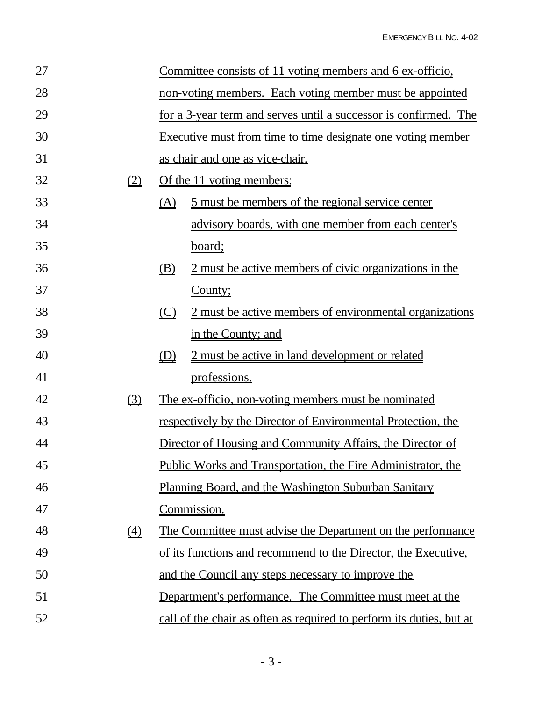| 27 |                               | Committee consists of 11 voting members and 6 ex-officio, |                                                                         |
|----|-------------------------------|-----------------------------------------------------------|-------------------------------------------------------------------------|
| 28 |                               | non-voting members. Each voting member must be appointed  |                                                                         |
| 29 |                               |                                                           | <u>for a 3-year term and serves until a successor is confirmed. The</u> |
| 30 |                               |                                                           | <u>Executive must from time to time designate one voting member</u>     |
| 31 |                               |                                                           | <u>as chair and one as vice-chair.</u>                                  |
| 32 | (2)                           |                                                           | Of the 11 voting members:                                               |
| 33 |                               | <u>(A)</u>                                                | <u>5 must be members of the regional service center</u>                 |
| 34 |                               |                                                           | advisory boards, with one member from each center's                     |
| 35 |                               |                                                           | <u>board;</u>                                                           |
| 36 |                               | <u>(B)</u>                                                | 2 must be active members of civic organizations in the                  |
| 37 |                               |                                                           | County;                                                                 |
| 38 |                               | $\circ$                                                   | <u>2 must be active members of environmental organizations</u>          |
| 39 |                               |                                                           | in the County; and                                                      |
| 40 |                               | (D)                                                       | 2 must be active in land development or related                         |
| 41 |                               |                                                           | professions.                                                            |
| 42 | $\underline{\textcircled{3}}$ |                                                           | The ex-officio, non-voting members must be nominated                    |
| 43 |                               |                                                           | respectively by the Director of Environmental Protection, the           |
| 44 |                               |                                                           | Director of Housing and Community Affairs, the Director of              |
| 45 |                               |                                                           | Public Works and Transportation, the Fire Administrator, the            |
| 46 |                               |                                                           | <u>Planning Board, and the Washington Suburban Sanitary</u>             |
| 47 |                               |                                                           | <u>Commission.</u>                                                      |
| 48 | $\underline{4}$               |                                                           | <u>The Committee must advise the Department on the performance</u>      |
| 49 |                               |                                                           | of its functions and recommend to the Director, the Executive,          |
| 50 |                               |                                                           | and the Council any steps necessary to improve the                      |
| 51 |                               |                                                           | <u>Department's performance. The Committee must meet at the</u>         |
| 52 |                               |                                                           | call of the chair as often as required to perform its duties, but at    |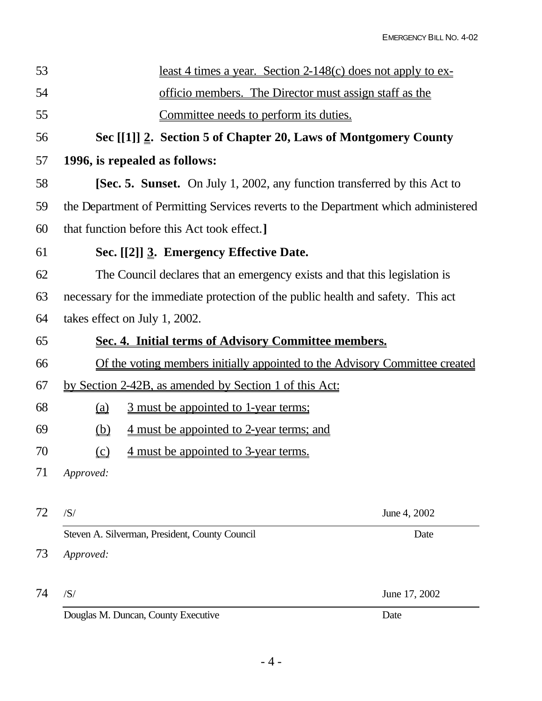| 53 |                                                                                    | <u>least 4 times a year. Section 2-148(c) does not apply to ex-</u>              |               |  |  |  |
|----|------------------------------------------------------------------------------------|----------------------------------------------------------------------------------|---------------|--|--|--|
| 54 |                                                                                    | officio members. The Director must assign staff as the                           |               |  |  |  |
| 55 |                                                                                    | Committee needs to perform its duties.                                           |               |  |  |  |
| 56 |                                                                                    | Sec [[1]] 2. Section 5 of Chapter 20, Laws of Montgomery County                  |               |  |  |  |
| 57 |                                                                                    | 1996, is repealed as follows:                                                    |               |  |  |  |
| 58 |                                                                                    | <b>[Sec. 5. Sunset.</b> On July 1, 2002, any function transferred by this Act to |               |  |  |  |
| 59 | the Department of Permitting Services reverts to the Department which administered |                                                                                  |               |  |  |  |
| 60 |                                                                                    | that function before this Act took effect.]                                      |               |  |  |  |
| 61 |                                                                                    | Sec. [[2]] 3. Emergency Effective Date.                                          |               |  |  |  |
| 62 |                                                                                    | The Council declares that an emergency exists and that this legislation is       |               |  |  |  |
| 63 | necessary for the immediate protection of the public health and safety. This act   |                                                                                  |               |  |  |  |
| 64 |                                                                                    | takes effect on July 1, 2002.                                                    |               |  |  |  |
| 65 |                                                                                    | Sec. 4. Initial terms of Advisory Committee members.                             |               |  |  |  |
| 66 |                                                                                    | Of the voting members initially appointed to the Advisory Committee created      |               |  |  |  |
| 67 |                                                                                    | by Section 2-42B, as amended by Section 1 of this Act:                           |               |  |  |  |
| 68 |                                                                                    | 3 must be appointed to 1-year terms;                                             |               |  |  |  |
| 69 | $\underline{\underline{\left(\mathbf{b}\right)}}$                                  | <u>4 must be appointed to 2-year terms; and</u>                                  |               |  |  |  |
| 70 | $\Omega$                                                                           | <u>4 must be appointed to 3-year terms.</u>                                      |               |  |  |  |
| 71 | Approved:                                                                          |                                                                                  |               |  |  |  |
|    |                                                                                    |                                                                                  |               |  |  |  |
| 72 | /S/                                                                                |                                                                                  | June 4, 2002  |  |  |  |
|    |                                                                                    | Steven A. Silverman, President, County Council                                   | Date          |  |  |  |
| 73 | Approved:                                                                          |                                                                                  |               |  |  |  |
| 74 | /S/                                                                                |                                                                                  | June 17, 2002 |  |  |  |
|    |                                                                                    | Douglas M. Duncan, County Executive                                              | Date          |  |  |  |